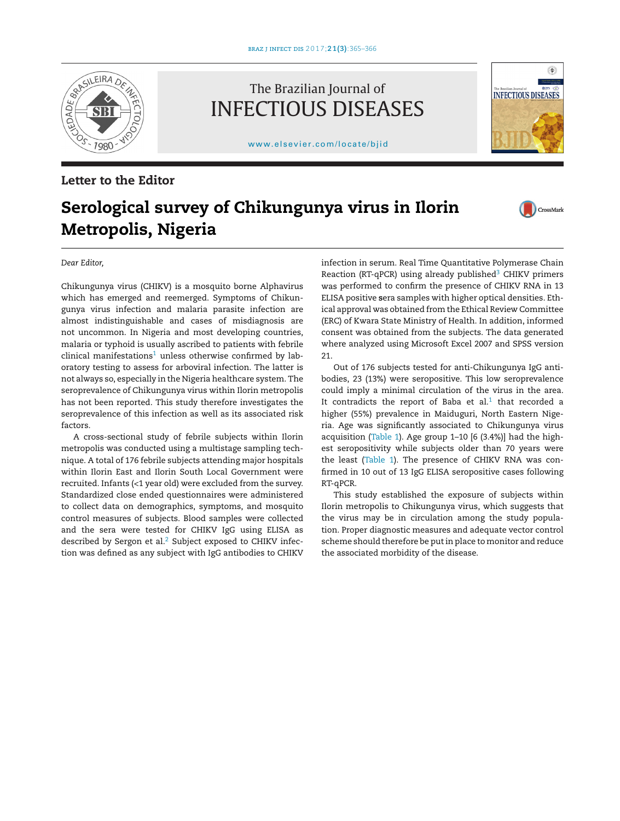

## **Letter to the Editor**

## The Brazilian Journal of INFECTIOUS DISEASES

[www.elsevier.com/locate/bjid](http://www.elsevier.com/locate/bjid)



# **Serological survey of Chikungunya virus in Ilorin Metropolis, Nigeria**



*Dear Editor,*

Chikungunya virus (CHIKV) is a mosquito borne Alphavirus which has emerged and reemerged. Symptoms of Chikungunya virus infection and malaria parasite infection are almost indistinguishable and cases of misdiagnosis are not uncommon. In Nigeria and most developing countries, malaria or typhoid is usually ascribed to patients with febrile clinical manifestations<sup>1</sup> unless otherwise confirmed by laboratory testing to assess for arboviral infection. The latter is not always so, especially in the Nigeria healthcare system. The seroprevalence of Chikungunya virus within Ilorin metropolis has not been reported. This study therefore investigates the seroprevalence of this infection as well as its associated risk factors.

A cross-sectional study of febrile subjects within Ilorin metropolis was conducted using a multistage sampling technique. A total of 176 febrile subjects attending major hospitals within Ilorin East and Ilorin South Local Government were recruited. Infants (<1 year old) were excluded from the survey. Standardized close ended questionnaires were administered to collect data on demographics, symptoms, and mosquito control measures of subjects. Blood samples were collected and the sera were tested for CHIKV IgG using ELISA as described by Sergon et al.<sup>[2](#page-1-0)</sup> Subject exposed to CHIKV infection was defined as any subject with IgG antibodies to CHIKV infection in serum. Real Time Quantitative Polymerase Chain Reaction (RT-qPCR) using already published<sup>[3](#page-1-0)</sup> CHIKV primers was performed to confirm the presence of CHIKV RNA in 13 ELISA positive **s**era samples with higher optical densities. Ethical approval was obtained from the Ethical Review Committee (ERC) of Kwara State Ministry of Health. In addition, informed consent was obtained from the subjects. The data generated where analyzed using Microsoft Excel 2007 and SPSS version 21.

Out of 176 subjects tested for anti-Chikungunya IgG antibodies, 23 (13%) were seropositive. This low seroprevalence could imply a minimal circulation of the virus in the area. It contradicts the report of Baba et  $al.1$  $al.1$  that recorded a higher (55%) prevalence in Maiduguri, North Eastern Nigeria. Age was significantly associated to Chikungunya virus acquisition ([Table](#page-1-0) 1). Age group 1–10 [6 (3.4%)] had the highest seropositivity while subjects older than 70 years were the least [\(Table](#page-1-0) 1). The presence of CHIKV RNA was confirmed in 10 out of 13 IgG ELISA seropositive cases following RT-qPCR.

This study established the exposure of subjects within Ilorin metropolis to Chikungunya virus, which suggests that the virus may be in circulation among the study population. Proper diagnostic measures and adequate vector control scheme should therefore be putin place to monitor and reduce the associated morbidity of the disease.